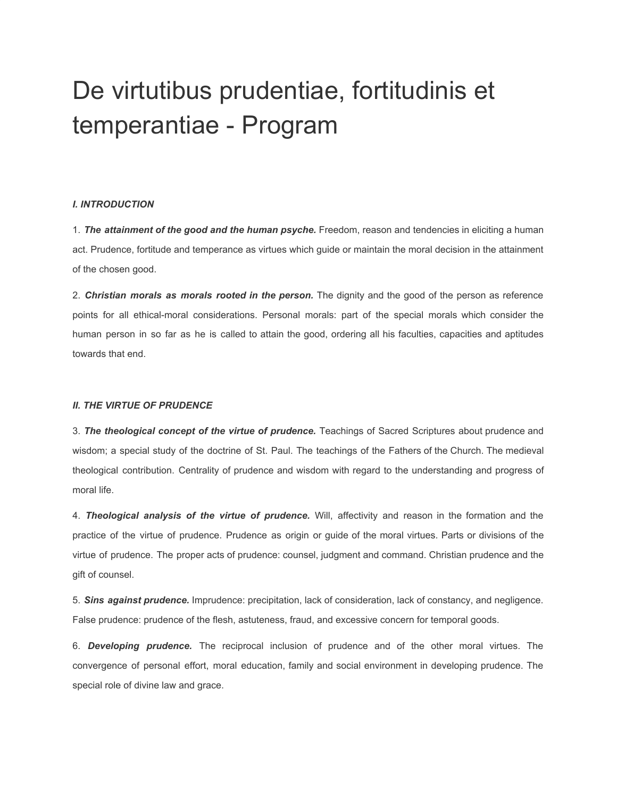# De virtutibus [prudentiae,](http://www.stgronline.org/theologia/theologia-moralis-et-theologia-spiritualis/de-virtutibus-prudentiae-fortitudinis-et-temperantiae/770-de-virtutibus-prudentiae-fortitudinis-et-temperantiae-program.html) fortitudinis et [temperantiae](http://www.stgronline.org/theologia/theologia-moralis-et-theologia-spiritualis/de-virtutibus-prudentiae-fortitudinis-et-temperantiae/770-de-virtutibus-prudentiae-fortitudinis-et-temperantiae-program.html) - Program

## *I. INTRODUCTION*

1. *The attainment of the good and the human psyche.* Freedom, reason and tendencies in eliciting a human act. Prudence, fortitude and temperance as virtues which guide or maintain the moral decision in the attainment of the chosen good.

2. *Christian morals as morals rooted in the person.* The dignity and the good of the person as reference points for all ethical-moral considerations. Personal morals: part of the special morals which consider the human person in so far as he is called to attain the good, ordering all his faculties, capacities and aptitudes towards that end.

## *II. THE VIRTUE OF PRUDENCE*

3. *The theological concept of the virtue of prudence.* Teachings of Sacred Scriptures about prudence and wisdom; a special study of the doctrine of St. Paul. The teachings of the Fathers of the Church. The medieval theological contribution. Centrality of prudence and wisdom with regard to the understanding and progress of moral life.

4. *Theological analysis of the virtue of prudence.* Will, affectivity and reason in the formation and the practice of the virtue of prudence. Prudence as origin or guide of the moral virtues. Parts or divisions of the virtue of prudence. The proper acts of prudence: counsel, judgment and command. Christian prudence and the gift of counsel.

5. *Sins against prudence.* Imprudence: precipitation, lack of consideration, lack of constancy, and negligence. False prudence: prudence of the flesh, astuteness, fraud, and excessive concern for temporal goods.

6. *Developing prudence.* The reciprocal inclusion of prudence and of the other moral virtues. The convergence of personal effort, moral education, family and social environment in developing prudence. The special role of divine law and grace.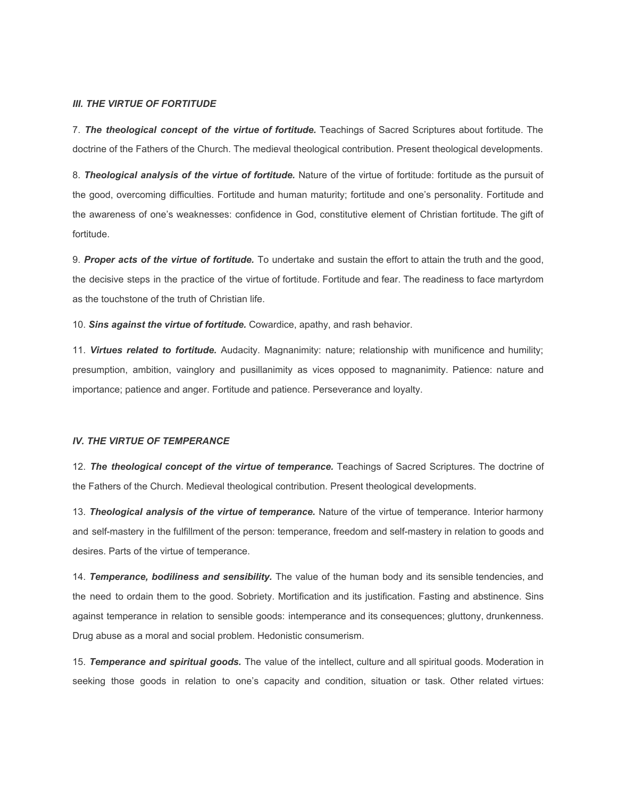### *III. THE VIRTUE OF FORTITUDE*

7. *The theological concept of the virtue of fortitude.* Teachings of Sacred Scriptures about fortitude. The doctrine of the Fathers of the Church. The medieval theological contribution. Present theological developments.

8. *Theological analysis of the virtue of fortitude.* Nature of the virtue of fortitude: fortitude as the pursuit of the good, overcoming difficulties. Fortitude and human maturity; fortitude and one's personality. Fortitude and the awareness of one's weaknesses: confidence in God, constitutive element of Christian fortitude. The gift of fortitude.

9. *Proper acts of the virtue of fortitude.* To undertake and sustain the effort to attain the truth and the good, the decisive steps in the practice of the virtue of fortitude. Fortitude and fear. The readiness to face martyrdom as the touchstone of the truth of Christian life.

10. *Sins against the virtue of fortitude.* Cowardice, apathy, and rash behavior.

11. *Virtues related to fortitude.* Audacity. Magnanimity: nature; relationship with munificence and humility; presumption, ambition, vainglory and pusillanimity as vices opposed to magnanimity. Patience: nature and importance; patience and anger. Fortitude and patience. Perseverance and loyalty.

#### *IV. THE VIRTUE OF TEMPERANCE*

12. *The theological concept of the virtue of temperance.* Teachings of Sacred Scriptures. The doctrine of the Fathers of the Church. Medieval theological contribution. Present theological developments.

13. *Theological analysis of the virtue of temperance.* Nature of the virtue of temperance. Interior harmony and self-mastery in the fulfillment of the person: temperance, freedom and self-mastery in relation to goods and desires. Parts of the virtue of temperance.

14. *Temperance, bodiliness and sensibility.* The value of the human body and its sensible tendencies, and the need to ordain them to the good. Sobriety. Mortification and its justification. Fasting and abstinence. Sins against temperance in relation to sensible goods: intemperance and its consequences; gluttony, drunkenness. Drug abuse as a moral and social problem. Hedonistic consumerism.

15. *Temperance and spiritual goods.* The value of the intellect, culture and all spiritual goods. Moderation in seeking those goods in relation to one's capacity and condition, situation or task. Other related virtues: